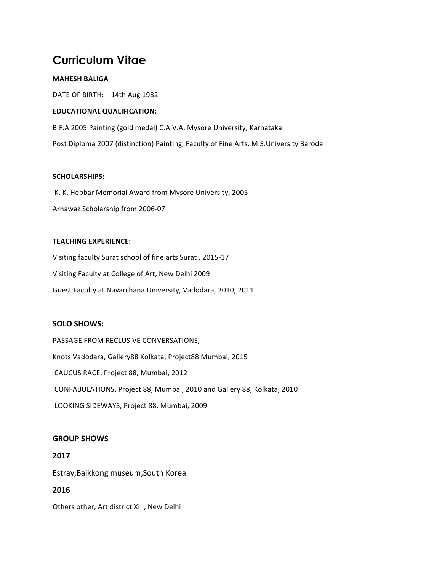# **Curriculum Vitae**

## **MAHESH BALIGA**

DATE OF BIRTH: 14th Aug 1982

## **EDUCATIONAL QUALIFICATION:**

B.F.A 2005 Painting (gold medal) C.A.V.A, Mysore University, Karnataka Post Diploma 2007 (distinction) Painting, Faculty of Fine Arts, M.S.University Baroda

## **SCHOLARSHIPS:**

K. K. Hebbar Memorial Award from Mysore University, 2005 Arnawaz Scholarship from 2006-07

## **TEACHING EXPERIENCE:**

Visiting faculty Surat school of fine arts Surat, 2015-17 Visiting Faculty at College of Art, New Delhi 2009 Guest Faculty at Navarchana University, Vadodara, 2010, 2011

## **SOLO SHOWS:**

PASSAGE FROM RECLUSIVE CONVERSATIONS, Knots Vadodara, Gallery88 Kolkata, Project88 Mumbai, 2015 CAUCUS RACE, Project 88, Mumbai, 2012 CONFABULATIONS, Project 88, Mumbai, 2010 and Gallery 88, Kolkata, 2010 LOOKING SIDEWAYS, Project 88, Mumbai, 2009

## **GROUP SHOWS**

Estray, Baikkong museum, South Korea

# **2016**

**2017**

Others other, Art district XIII, New Delhi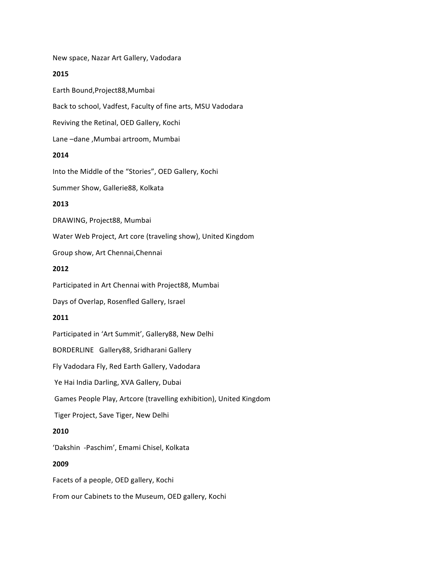New space, Nazar Art Gallery, Vadodara

#### **2015**

Earth Bound,Project88,Mumbai Back to school, Vadfest, Faculty of fine arts, MSU Vadodara Reviving the Retinal, OED Gallery, Kochi Lane -dane , Mumbai artroom, Mumbai

## **2014**

Into the Middle of the "Stories", OED Gallery, Kochi Summer Show, Gallerie88, Kolkata **2013** 

DRAWING, Project88, Mumbai

Water Web Project, Art core (traveling show), United Kingdom

Group show, Art Chennai, Chennai

#### **2012**

Participated in Art Chennai with Project88, Mumbai

Days of Overlap, Rosenfled Gallery, Israel

## **2011**

Participated in 'Art Summit', Gallery88, New Delhi

BORDERLINE Gallery88, Sridharani Gallery

Fly Vadodara Fly, Red Earth Gallery, Vadodara

Ye Hai India Darling, XVA Gallery, Dubai

Games People Play, Artcore (travelling exhibition), United Kingdom

Tiger Project, Save Tiger, New Delhi

## **2010**

'Dakshin -Paschim', Emami Chisel, Kolkata

#### **2009**

Facets of a people, OED gallery, Kochi

From our Cabinets to the Museum, OED gallery, Kochi